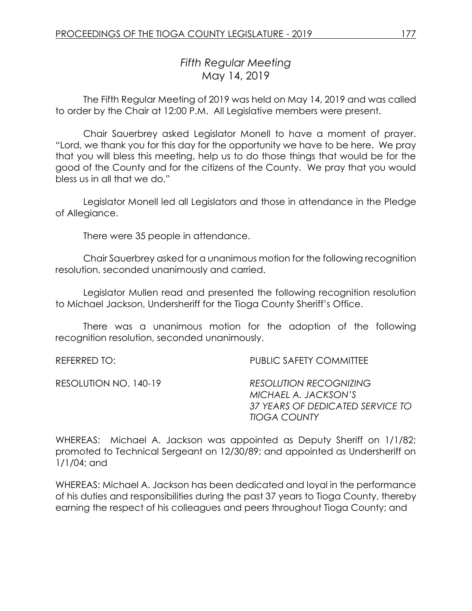# *Fifth Regular Meeting* May 14, 2019

The Fifth Regular Meeting of 2019 was held on May 14, 2019 and was called to order by the Chair at 12:00 P.M. All Legislative members were present.

Chair Sauerbrey asked Legislator Monell to have a moment of prayer. "Lord, we thank you for this day for the opportunity we have to be here. We pray that you will bless this meeting, help us to do those things that would be for the good of the County and for the citizens of the County. We pray that you would bless us in all that we do."

Legislator Monell led all Legislators and those in attendance in the Pledge of Allegiance.

There were 35 people in attendance.

Chair Sauerbrey asked for a unanimous motion for the following recognition resolution, seconded unanimously and carried.

Legislator Mullen read and presented the following recognition resolution to Michael Jackson, Undersheriff for the Tioga County Sheriff's Office.

There was a unanimous motion for the adoption of the following recognition resolution, seconded unanimously.

REFERRED TO: PUBLIC SAFETY COMMITTEE

RESOLUTION NO. 140-19 *RESOLUTION RECOGNIZING MICHAEL A. JACKSON'S 37 YEARS OF DEDICATED SERVICE TO TIOGA COUNTY*

WHEREAS: Michael A. Jackson was appointed as Deputy Sheriff on 1/1/82; promoted to Technical Sergeant on 12/30/89; and appointed as Undersheriff on 1/1/04; and

WHEREAS: Michael A. Jackson has been dedicated and loyal in the performance of his duties and responsibilities during the past 37 years to Tioga County, thereby earning the respect of his colleagues and peers throughout Tioga County; and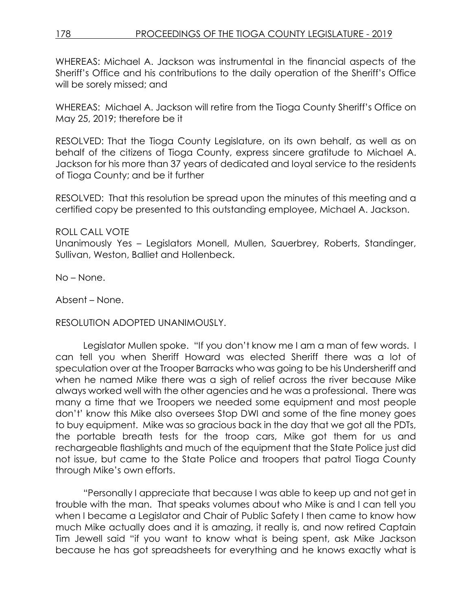WHEREAS: Michael A. Jackson was instrumental in the financial aspects of the Sheriff's Office and his contributions to the daily operation of the Sheriff's Office will be sorely missed; and

WHEREAS: Michael A. Jackson will retire from the Tioga County Sheriff's Office on May 25, 2019; therefore be it

RESOLVED: That the Tioga County Legislature, on its own behalf, as well as on behalf of the citizens of Tioga County, express sincere gratitude to Michael A. Jackson for his more than 37 years of dedicated and loyal service to the residents of Tioga County; and be it further

RESOLVED: That this resolution be spread upon the minutes of this meeting and a certified copy be presented to this outstanding employee, Michael A. Jackson.

### ROLL CALL VOTE

Unanimously Yes – Legislators Monell, Mullen, Sauerbrey, Roberts, Standinger, Sullivan, Weston, Balliet and Hollenbeck.

No – None.

Absent – None.

#### RESOLUTION ADOPTED UNANIMOUSLY.

Legislator Mullen spoke. "If you don't know me I am a man of few words. I can tell you when Sheriff Howard was elected Sheriff there was a lot of speculation over at the Trooper Barracks who was going to be his Undersheriff and when he named Mike there was a sigh of relief across the river because Mike always worked well with the other agencies and he was a professional. There was many a time that we Troopers we needed some equipment and most people don't' know this Mike also oversees Stop DWI and some of the fine money goes to buy equipment. Mike was so gracious back in the day that we got all the PDTs, the portable breath tests for the troop cars, Mike got them for us and rechargeable flashlights and much of the equipment that the State Police just did not issue, but came to the State Police and troopers that patrol Tioga County through Mike's own efforts.

"Personally I appreciate that because I was able to keep up and not get in trouble with the man. That speaks volumes about who Mike is and I can tell you when I became a Legislator and Chair of Public Safety I then came to know how much Mike actually does and it is amazing, it really is, and now retired Captain Tim Jewell said "if you want to know what is being spent, ask Mike Jackson because he has got spreadsheets for everything and he knows exactly what is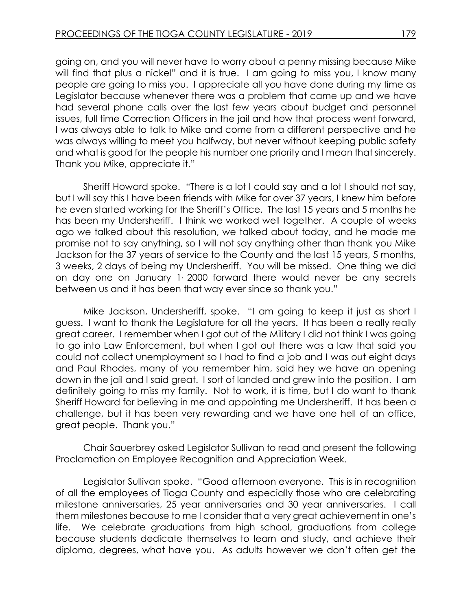going on, and you will never have to worry about a penny missing because Mike will find that plus a nickel" and it is true. I am going to miss you, I know many people are going to miss you. I appreciate all you have done during my time as Legislator because whenever there was a problem that came up and we have had several phone calls over the last few years about budget and personnel issues, full time Correction Officers in the jail and how that process went forward, I was always able to talk to Mike and come from a different perspective and he was always willing to meet you halfway, but never without keeping public safety and what is good for the people his number one priority and I mean that sincerely. Thank you Mike, appreciate it."

Sheriff Howard spoke. "There is a lot I could say and a lot I should not say, but I will say this I have been friends with Mike for over 37 years, I knew him before he even started working for the Sheriff's Office. The last 15 years and 5 months he has been my Undersheriff. I think we worked well together. A couple of weeks ago we talked about this resolution, we talked about today, and he made me promise not to say anything, so I will not say anything other than thank you Mike Jackson for the 37 years of service to the County and the last 15 years, 5 months, 3 weeks, 2 days of being my Undersheriff. You will be missed. One thing we did on day one on January 1, 2000 forward there would never be any secrets between us and it has been that way ever since so thank you."

Mike Jackson, Undersheriff, spoke. "I am going to keep it just as short I guess. I want to thank the Legislature for all the years. It has been a really really great career. I remember when I got out of the Military I did not think I was going to go into Law Enforcement, but when I got out there was a law that said you could not collect unemployment so I had to find a job and I was out eight days and Paul Rhodes, many of you remember him, said hey we have an opening down in the jail and I said great. I sort of landed and grew into the position. I am definitely going to miss my family. Not to work, it is time, but I do want to thank Sheriff Howard for believing in me and appointing me Undersheriff. It has been a challenge, but it has been very rewarding and we have one hell of an office, great people. Thank you."

Chair Sauerbrey asked Legislator Sullivan to read and present the following Proclamation on Employee Recognition and Appreciation Week.

Legislator Sullivan spoke. "Good afternoon everyone. This is in recognition of all the employees of Tioga County and especially those who are celebrating milestone anniversaries, 25 year anniversaries and 30 year anniversaries. I call them milestones because to me I consider that a very great achievement in one's life. We celebrate graduations from high school, graduations from college because students dedicate themselves to learn and study, and achieve their diploma, degrees, what have you. As adults however we don't often get the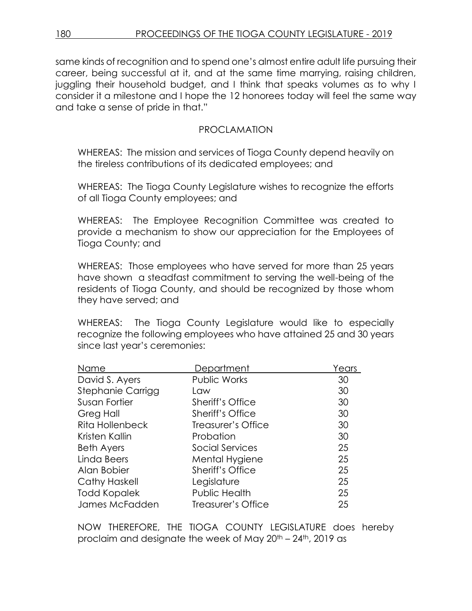same kinds of recognition and to spend one's almost entire adult life pursuing their career, being successful at it, and at the same time marrying, raising children, juggling their household budget, and I think that speaks volumes as to why I consider it a milestone and I hope the 12 honorees today will feel the same way and take a sense of pride in that."

### PROCLAMATION

WHEREAS: The mission and services of Tioga County depend heavily on the tireless contributions of its dedicated employees; and

WHEREAS: The Tioga County Legislature wishes to recognize the efforts of all Tioga County employees; and

WHEREAS: The Employee Recognition Committee was created to provide a mechanism to show our appreciation for the Employees of Tioga County; and

WHEREAS: Those employees who have served for more than 25 years have shown a steadfast commitment to serving the well-being of the residents of Tioga County, and should be recognized by those whom they have served; and

WHEREAS: The Tioga County Legislature would like to especially recognize the following employees who have attained 25 and 30 years since last year's ceremonies:

| Name                 | Department              | Years |
|----------------------|-------------------------|-------|
| David S. Ayers       | <b>Public Works</b>     | 30    |
| Stephanie Carrigg    | Law                     | 30    |
| Susan Fortier        | <b>Sheriff's Office</b> | 30    |
| Greg Hall            | <b>Sheriff's Office</b> | 30    |
| Rita Hollenbeck      | Treasurer's Office      | 30    |
| Kristen Kallin       | Probation               | 30    |
| <b>Beth Ayers</b>    | <b>Social Services</b>  | 25    |
| Linda Beers          | Mental Hygiene          | 25    |
| Alan Bobier          | <b>Sheriff's Office</b> | 25    |
| <b>Cathy Haskell</b> | Legislature             | 25    |
| <b>Todd Kopalek</b>  | Public Health           | 25    |
| James McFadden       | Treasurer's Office      | 25    |

NOW THEREFORE, THE TIOGA COUNTY LEGISLATURE does hereby proclaim and designate the week of May 20th – 24th, 2019 as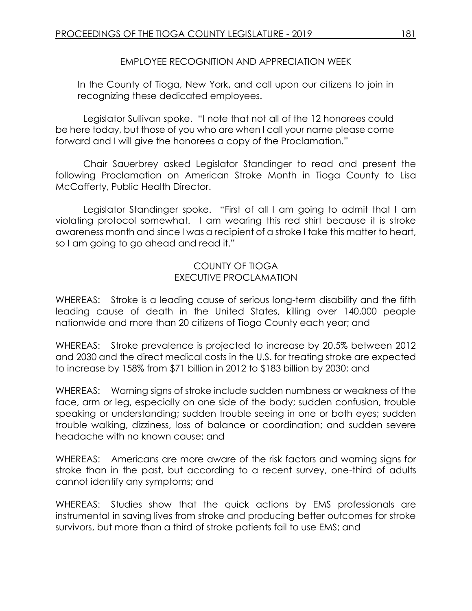### EMPLOYEE RECOGNITION AND APPRECIATION WEEK

In the County of Tioga, New York, and call upon our citizens to join in recognizing these dedicated employees.

Legislator Sullivan spoke. "I note that not all of the 12 honorees could be here today, but those of you who are when I call your name please come forward and I will give the honorees a copy of the Proclamation."

Chair Sauerbrey asked Legislator Standinger to read and present the following Proclamation on American Stroke Month in Tioga County to Lisa McCafferty, Public Health Director.

Legislator Standinger spoke. "First of all I am going to admit that I am violating protocol somewhat. I am wearing this red shirt because it is stroke awareness month and since I was a recipient of a stroke I take this matter to heart, so I am going to go ahead and read it."

### COUNTY OF TIOGA EXECUTIVE PROCLAMATION

WHEREAS: Stroke is a leading cause of serious long-term disability and the fifth leading cause of death in the United States, killing over 140,000 people nationwide and more than 20 citizens of Tioga County each year; and

WHEREAS: Stroke prevalence is projected to increase by 20.5% between 2012 and 2030 and the direct medical costs in the U.S. for treating stroke are expected to increase by 158% from \$71 billion in 2012 to \$183 billion by 2030; and

WHEREAS: Warning signs of stroke include sudden numbness or weakness of the face, arm or leg, especially on one side of the body; sudden confusion, trouble speaking or understanding; sudden trouble seeing in one or both eyes; sudden trouble walking, dizziness, loss of balance or coordination; and sudden severe headache with no known cause; and

WHEREAS: Americans are more aware of the risk factors and warning signs for stroke than in the past, but according to a recent survey, one-third of adults cannot identify any symptoms; and

WHEREAS: Studies show that the quick actions by EMS professionals are instrumental in saving lives from stroke and producing better outcomes for stroke survivors, but more than a third of stroke patients fail to use EMS; and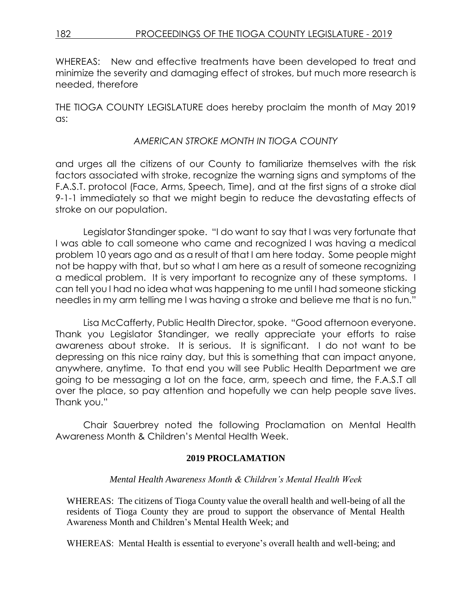WHEREAS: New and effective treatments have been developed to treat and minimize the severity and damaging effect of strokes, but much more research is needed, therefore

THE TIOGA COUNTY LEGISLATURE does hereby proclaim the month of May 2019 as:

### *AMERICAN STROKE MONTH IN TIOGA COUNTY*

and urges all the citizens of our County to familiarize themselves with the risk factors associated with stroke, recognize the warning signs and symptoms of the F.A.S.T. protocol (Face, Arms, Speech, Time), and at the first signs of a stroke dial 9-1-1 immediately so that we might begin to reduce the devastating effects of stroke on our population.

Legislator Standinger spoke. "I do want to say that I was very fortunate that I was able to call someone who came and recognized I was having a medical problem 10 years ago and as a result of that I am here today. Some people might not be happy with that, but so what I am here as a result of someone recognizing a medical problem. It is very important to recognize any of these symptoms. I can tell you I had no idea what was happening to me until I had someone sticking needles in my arm telling me I was having a stroke and believe me that is no fun."

Lisa McCafferty, Public Health Director, spoke. "Good afternoon everyone. Thank you Legislator Standinger, we really appreciate your efforts to raise awareness about stroke. It is serious. It is significant. I do not want to be depressing on this nice rainy day, but this is something that can impact anyone, anywhere, anytime. To that end you will see Public Health Department we are going to be messaging a lot on the face, arm, speech and time, the F.A.S.T all over the place, so pay attention and hopefully we can help people save lives. Thank you."

Chair Sauerbrey noted the following Proclamation on Mental Health Awareness Month & Children's Mental Health Week.

#### **2019 PROCLAMATION**

#### *Mental Health Awareness Month & Children's Mental Health Week*

WHEREAS: The citizens of Tioga County value the overall health and well-being of all the residents of Tioga County they are proud to support the observance of Mental Health Awareness Month and Children's Mental Health Week; and

WHEREAS: Mental Health is essential to everyone's overall health and well-being; and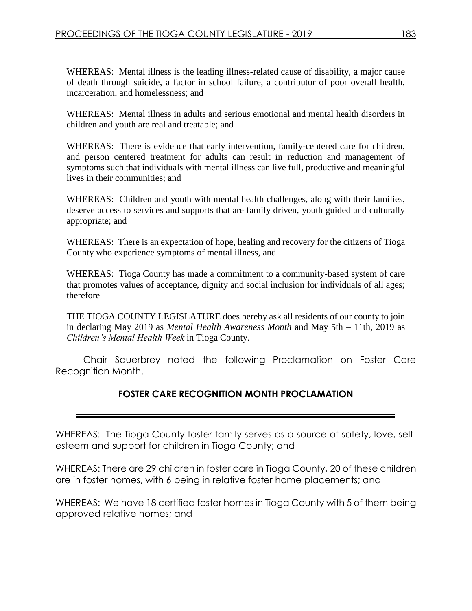WHEREAS: Mental illness is the leading illness-related cause of disability, a major cause of death through suicide, a factor in school failure, a contributor of poor overall health, incarceration, and homelessness; and

WHEREAS: Mental illness in adults and serious emotional and mental health disorders in children and youth are real and treatable; and

WHEREAS: There is evidence that early intervention, family-centered care for children, and person centered treatment for adults can result in reduction and management of symptoms such that individuals with mental illness can live full, productive and meaningful lives in their communities; and

WHEREAS: Children and youth with mental health challenges, along with their families, deserve access to services and supports that are family driven, youth guided and culturally appropriate; and

WHEREAS: There is an expectation of hope, healing and recovery for the citizens of Tioga County who experience symptoms of mental illness, and

WHEREAS: Tioga County has made a commitment to a community-based system of care that promotes values of acceptance, dignity and social inclusion for individuals of all ages; therefore

THE TIOGA COUNTY LEGISLATURE does hereby ask all residents of our county to join in declaring May 2019 as *Mental Health Awareness Month* and May 5th – 11th, 2019 as *Children's Mental Health Week* in Tioga County.

Chair Sauerbrey noted the following Proclamation on Foster Care Recognition Month.

### **FOSTER CARE RECOGNITION MONTH PROCLAMATION**

WHEREAS: The Tioga County foster family serves as a source of safety, love, selfesteem and support for children in Tioga County; and

WHEREAS: There are 29 children in foster care in Tioga County, 20 of these children are in foster homes, with 6 being in relative foster home placements; and

WHEREAS: We have 18 certified foster homes in Tioga County with 5 of them being approved relative homes; and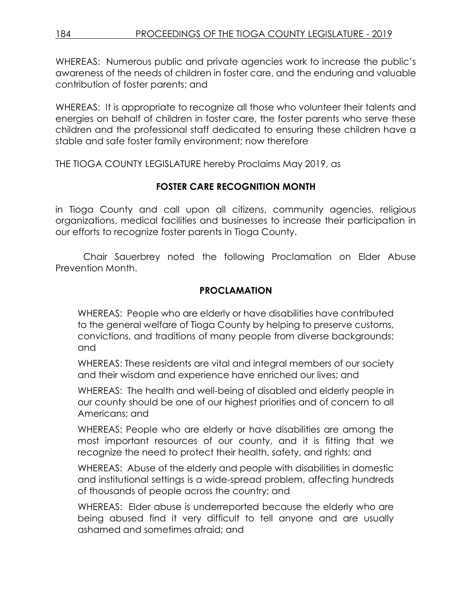WHEREAS: Numerous public and private agencies work to increase the public's awareness of the needs of children in foster care, and the enduring and valuable contribution of foster parents; and

WHEREAS: It is appropriate to recognize all those who volunteer their talents and energies on behalf of children in foster care, the foster parents who serve these children and the professional staff dedicated to ensuring these children have a stable and safe foster family environment; now therefore

THE TIOGA COUNTY LEGISLATURE hereby Proclaims May 2019, as

## **FOSTER CARE RECOGNITION MONTH**

in Tioga County and call upon all citizens, community agencies, religious organizations, medical facilities and businesses to increase their participation in our efforts to recognize foster parents in Tioga County.

Chair Sauerbrey noted the following Proclamation on Elder Abuse Prevention Month.

### **PROCLAMATION**

WHEREAS: People who are elderly or have disabilities have contributed to the general welfare of Tioga County by helping to preserve customs, convictions, and traditions of many people from diverse backgrounds; and

WHEREAS: These residents are vital and integral members of our society and their wisdom and experience have enriched our lives; and

WHEREAS: The health and well-being of disabled and elderly people in our county should be one of our highest priorities and of concern to all Americans; and

WHEREAS: People who are elderly or have disabilities are among the most important resources of our county, and it is fitting that we recognize the need to protect their health, safety, and rights; and

WHEREAS: Abuse of the elderly and people with disabilities in domestic and institutional settings is a wide-spread problem, affecting hundreds of thousands of people across the country; and

WHEREAS: Elder abuse is underreported because the elderly who are being abused find it very difficult to tell anyone and are usually ashamed and sometimes afraid; and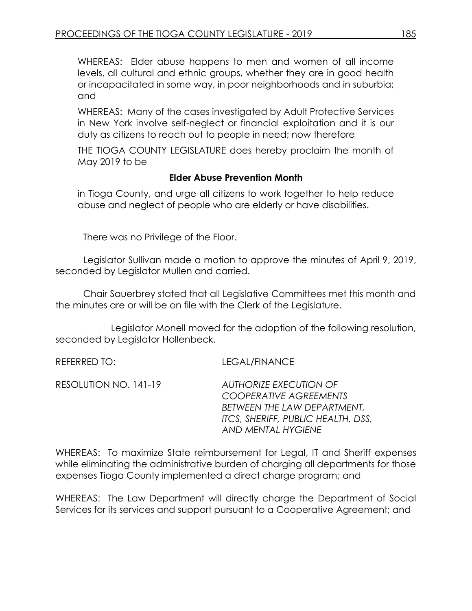WHEREAS: Elder abuse happens to men and women of all income levels, all cultural and ethnic groups, whether they are in good health or incapacitated in some way, in poor neighborhoods and in suburbia; and

WHEREAS: Many of the cases investigated by Adult Protective Services in New York involve self-neglect or financial exploitation and it is our duty as citizens to reach out to people in need; now therefore

THE TIOGA COUNTY LEGISLATURE does hereby proclaim the month of May 2019 to be

#### **Elder Abuse Prevention Month**

in Tioga County, and urge all citizens to work together to help reduce abuse and neglect of people who are elderly or have disabilities.

There was no Privilege of the Floor.

Legislator Sullivan made a motion to approve the minutes of April 9, 2019, seconded by Legislator Mullen and carried.

Chair Sauerbrey stated that all Legislative Committees met this month and the minutes are or will be on file with the Clerk of the Legislature.

Legislator Monell moved for the adoption of the following resolution, seconded by Legislator Hollenbeck.

REFERRED TO: LEGAL/FINANCE

| RESOLUTION NO. 141-19 | AUTHORIZE EXECUTION OF             |
|-----------------------|------------------------------------|
|                       | <b>COOPERATIVE AGREEMENTS</b>      |
|                       | BETWEEN THE LAW DEPARTMENT.        |
|                       | ITCS, SHERIFF, PUBLIC HEALTH, DSS, |
|                       | AND MENTAL HYGIENE                 |

WHEREAS: To maximize State reimbursement for Legal, IT and Sheriff expenses while eliminating the administrative burden of charging all departments for those expenses Tioga County implemented a direct charge program; and

WHEREAS: The Law Department will directly charge the Department of Social Services for its services and support pursuant to a Cooperative Agreement; and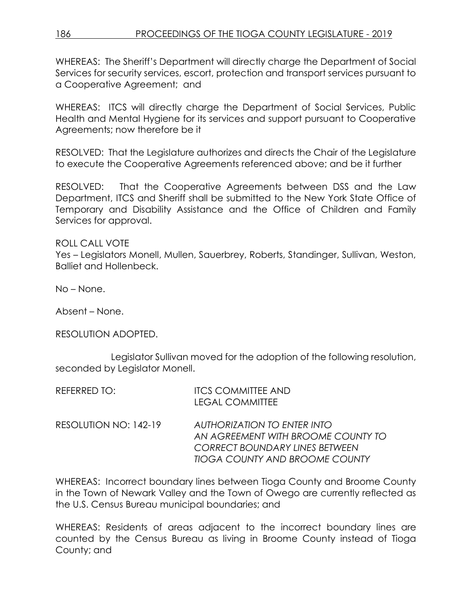WHEREAS: The Sheriff's Department will directly charge the Department of Social Services for security services, escort, protection and transport services pursuant to a Cooperative Agreement; and

WHEREAS: ITCS will directly charge the Department of Social Services, Public Health and Mental Hygiene for its services and support pursuant to Cooperative Agreements; now therefore be it

RESOLVED: That the Legislature authorizes and directs the Chair of the Legislature to execute the Cooperative Agreements referenced above; and be it further

RESOLVED: That the Cooperative Agreements between DSS and the Law Department, ITCS and Sheriff shall be submitted to the New York State Office of Temporary and Disability Assistance and the Office of Children and Family Services for approval.

ROLL CALL VOTE

Yes – Legislators Monell, Mullen, Sauerbrey, Roberts, Standinger, Sullivan, Weston, Balliet and Hollenbeck.

No – None.

Absent – None.

RESOLUTION ADOPTED.

Legislator Sullivan moved for the adoption of the following resolution, seconded by Legislator Monell.

| REFERRED TO:          | <b>ITCS COMMITTEE AND</b>             |
|-----------------------|---------------------------------------|
|                       | <b>LEGAL COMMITTEE</b>                |
| RESOLUTION NO: 142-19 | <b>AUTHORIZATION TO ENTER INTO</b>    |
|                       | AN AGREEMENT WITH BROOME COUNTY TO    |
|                       | <b>CORRECT BOUNDARY LINES BETWEEN</b> |
|                       | <b>TIOGA COUNTY AND BROOME COUNTY</b> |

WHEREAS: Incorrect boundary lines between Tioga County and Broome County in the Town of Newark Valley and the Town of Owego are currently reflected as the U.S. Census Bureau municipal boundaries; and

WHEREAS: Residents of areas adjacent to the incorrect boundary lines are counted by the Census Bureau as living in Broome County instead of Tioga County; and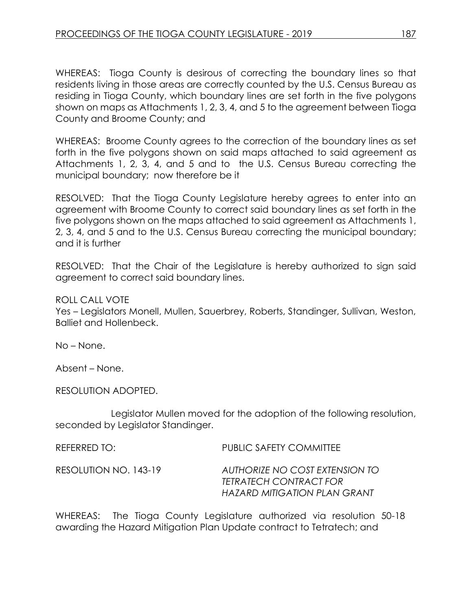WHEREAS: Tioga County is desirous of correcting the boundary lines so that residents living in those areas are correctly counted by the U.S. Census Bureau as residing in Tioga County, which boundary lines are set forth in the five polygons shown on maps as Attachments 1, 2, 3, 4, and 5 to the agreement between Tioga County and Broome County; and

WHEREAS: Broome County agrees to the correction of the boundary lines as set forth in the five polygons shown on said maps attached to said agreement as Attachments 1, 2, 3, 4, and 5 and to the U.S. Census Bureau correcting the municipal boundary; now therefore be it

RESOLVED: That the Tioga County Legislature hereby agrees to enter into an agreement with Broome County to correct said boundary lines as set forth in the five polygons shown on the maps attached to said agreement as Attachments 1, 2, 3, 4, and 5 and to the U.S. Census Bureau correcting the municipal boundary; and it is further

RESOLVED: That the Chair of the Legislature is hereby authorized to sign said agreement to correct said boundary lines.

### ROLL CALL VOTE

Yes – Legislators Monell, Mullen, Sauerbrey, Roberts, Standinger, Sullivan, Weston, Balliet and Hollenbeck.

No – None.

Absent – None.

RESOLUTION ADOPTED.

Legislator Mullen moved for the adoption of the following resolution, seconded by Legislator Standinger.

REFERRED TO: PUBLIC SAFETY COMMITTEE RESOLUTION NO. 143-19 *AUTHORIZE NO COST EXTENSION TO TETRATECH CONTRACT FOR HAZARD MITIGATION PLAN GRANT*

WHEREAS: The Tioga County Legislature authorized via resolution 50-18 awarding the Hazard Mitigation Plan Update contract to Tetratech; and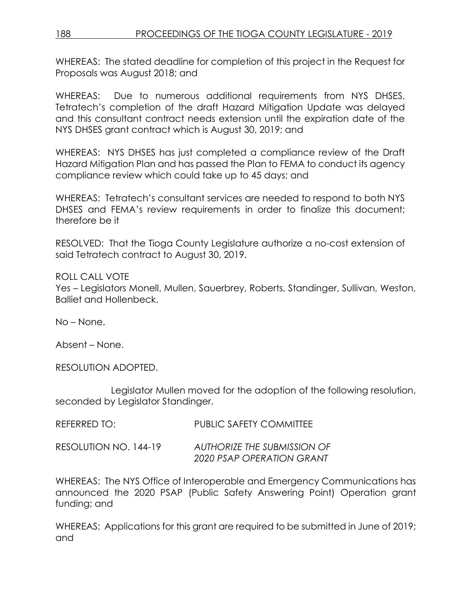WHEREAS: The stated deadline for completion of this project in the Request for Proposals was August 2018; and

WHEREAS: Due to numerous additional requirements from NYS DHSES, Tetratech's completion of the draft Hazard Mitigation Update was delayed and this consultant contract needs extension until the expiration date of the NYS DHSES grant contract which is August 30, 2019; and

WHEREAS: NYS DHSES has just completed a compliance review of the Draft Hazard Mitigation Plan and has passed the Plan to FEMA to conduct its agency compliance review which could take up to 45 days; and

WHEREAS: Tetratech's consultant services are needed to respond to both NYS DHSES and FEMA's review requirements in order to finalize this document; therefore be it

RESOLVED: That the Tioga County Legislature authorize a no-cost extension of said Tetratech contract to August 30, 2019.

### ROLL CALL VOTE

Yes – Legislators Monell, Mullen, Sauerbrey, Roberts, Standinger, Sullivan, Weston, Balliet and Hollenbeck.

No – None.

Absent – None.

RESOLUTION ADOPTED.

Legislator Mullen moved for the adoption of the following resolution, seconded by Legislator Standinger.

| REFERRED TO:          | PUBLIC SAFETY COMMITTEE                                  |
|-----------------------|----------------------------------------------------------|
| RESOLUTION NO. 144-19 | AUTHORIZE THE SUBMISSION OF<br>2020 PSAP OPERATION GRANT |

WHEREAS: The NYS Office of Interoperable and Emergency Communications has announced the 2020 PSAP (Public Safety Answering Point) Operation grant funding; and

WHEREAS: Applications for this grant are required to be submitted in June of 2019; and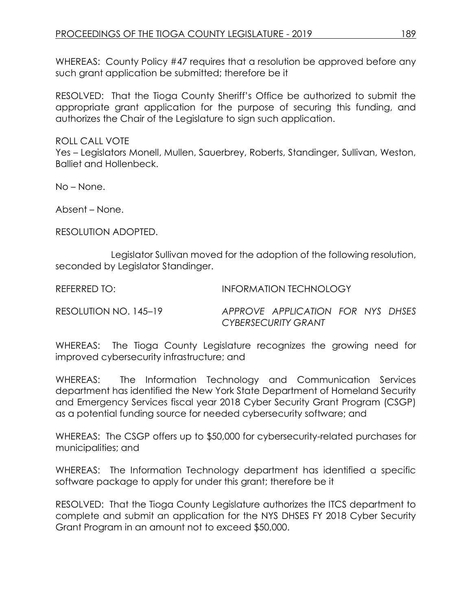WHEREAS: County Policy #47 requires that a resolution be approved before any such grant application be submitted; therefore be it

RESOLVED: That the Tioga County Sheriff's Office be authorized to submit the appropriate grant application for the purpose of securing this funding, and authorizes the Chair of the Legislature to sign such application.

ROLL CALL VOTE

Yes – Legislators Monell, Mullen, Sauerbrey, Roberts, Standinger, Sullivan, Weston, Balliet and Hollenbeck.

No – None.

Absent – None.

RESOLUTION ADOPTED.

Legislator Sullivan moved for the adoption of the following resolution, seconded by Legislator Standinger.

REFERRED TO: INFORMATION TECHNOLOGY

RESOLUTION NO. 145–19 *APPROVE APPLICATION FOR NYS DHSES CYBERSECURITY GRANT*

WHEREAS: The Tioga County Legislature recognizes the growing need for improved cybersecurity infrastructure; and

WHEREAS: The Information Technology and Communication Services department has identified the New York State Department of Homeland Security and Emergency Services fiscal year 2018 Cyber Security Grant Program (CSGP) as a potential funding source for needed cybersecurity software; and

WHEREAS: The CSGP offers up to \$50,000 for cybersecurity-related purchases for municipalities; and

WHEREAS: The Information Technology department has identified a specific software package to apply for under this grant; therefore be it

RESOLVED: That the Tioga County Legislature authorizes the ITCS department to complete and submit an application for the NYS DHSES FY 2018 Cyber Security Grant Program in an amount not to exceed \$50,000.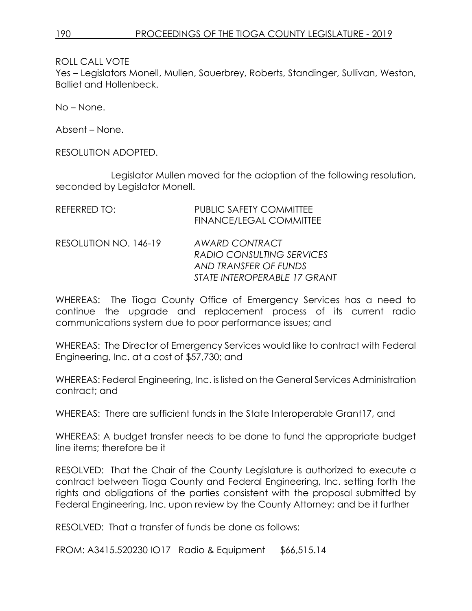Yes – Legislators Monell, Mullen, Sauerbrey, Roberts, Standinger, Sullivan, Weston, Balliet and Hollenbeck.

No – None.

Absent – None.

RESOLUTION ADOPTED.

Legislator Mullen moved for the adoption of the following resolution, seconded by Legislator Monell.

| REFERRED TO:          | <b>PUBLIC SAFETY COMMITTEE</b><br><b>FINANCE/LEGAL COMMITTEE</b>                                     |
|-----------------------|------------------------------------------------------------------------------------------------------|
| RESOLUTION NO. 146-19 | AWARD CONTRACT<br>RADIO CONSULTING SERVICES<br>AND TRANSFER OF FUNDS<br>STATE INTEROPERABLE 17 GRANT |

WHEREAS: The Tioga County Office of Emergency Services has a need to continue the upgrade and replacement process of its current radio communications system due to poor performance issues; and

WHEREAS: The Director of Emergency Services would like to contract with Federal Engineering, Inc. at a cost of \$57,730; and

WHEREAS: Federal Engineering, Inc. is listed on the General Services Administration contract; and

WHEREAS: There are sufficient funds in the State Interoperable Grant17, and

WHEREAS: A budget transfer needs to be done to fund the appropriate budget line items; therefore be it

RESOLVED: That the Chair of the County Legislature is authorized to execute a contract between Tioga County and Federal Engineering, Inc. setting forth the rights and obligations of the parties consistent with the proposal submitted by Federal Engineering, Inc. upon review by the County Attorney; and be it further

RESOLVED: That a transfer of funds be done as follows:

FROM: A3415.520230 IO17 Radio & Equipment \$66,515.14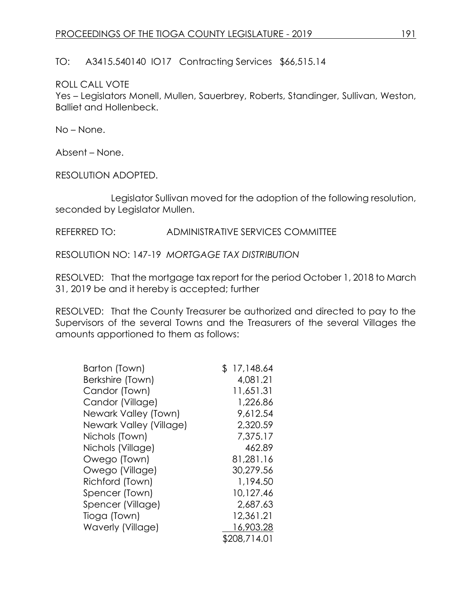TO: A3415.540140 IO17 Contracting Services \$66,515.14

### ROLL CALL VOTE

Yes – Legislators Monell, Mullen, Sauerbrey, Roberts, Standinger, Sullivan, Weston, Balliet and Hollenbeck.

No – None.

Absent – None.

RESOLUTION ADOPTED.

Legislator Sullivan moved for the adoption of the following resolution, seconded by Legislator Mullen.

REFERRED TO: ADMINISTRATIVE SERVICES COMMITTEE

RESOLUTION NO: 147-19 *MORTGAGE TAX DISTRIBUTION*

RESOLVED: That the mortgage tax report for the period October 1, 2018 to March 31, 2019 be and it hereby is accepted; further

RESOLVED: That the County Treasurer be authorized and directed to pay to the Supervisors of the several Towns and the Treasurers of the several Villages the amounts apportioned to them as follows:

| Barton (Town)           | \$17,148.64  |
|-------------------------|--------------|
| Berkshire (Town)        | 4,081.21     |
| Candor (Town)           | 11,651.31    |
| Candor (Village)        | 1,226.86     |
| Newark Valley (Town)    | 9,612.54     |
| Newark Valley (Village) | 2,320.59     |
| Nichols (Town)          | 7,375.17     |
| Nichols (Village)       | 462.89       |
| Owego (Town)            | 81,281.16    |
| Owego (Village)         | 30,279.56    |
| Richford (Town)         | 1,194.50     |
| Spencer (Town)          | 10,127.46    |
| Spencer (Village)       | 2,687.63     |
| Tioga (Town)            | 12,361.21    |
| Waverly (Village)       | 16,903.28    |
|                         | \$208,714.01 |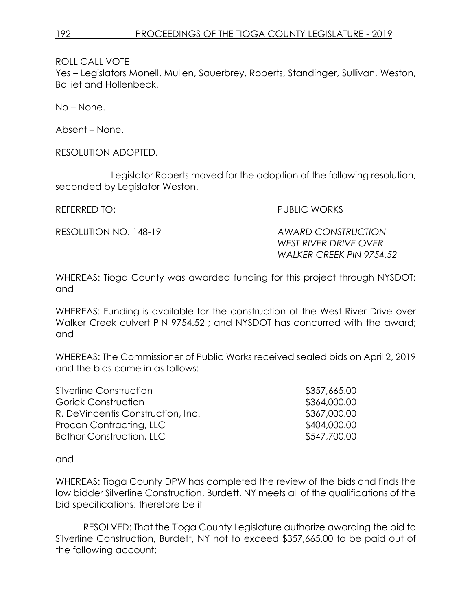Yes – Legislators Monell, Mullen, Sauerbrey, Roberts, Standinger, Sullivan, Weston, Balliet and Hollenbeck.

No – None.

Absent – None.

RESOLUTION ADOPTED.

Legislator Roberts moved for the adoption of the following resolution, seconded by Legislator Weston.

REFERRED TO: PUBLIC WORKS

RESOLUTION NO. 148-19 *AWARD CONSTRUCTION WEST RIVER DRIVE OVER WALKER CREEK PIN 9754.52*

WHEREAS: Tioga County was awarded funding for this project through NYSDOT; and

WHEREAS: Funding is available for the construction of the West River Drive over Walker Creek culvert PIN 9754.52 ; and NYSDOT has concurred with the award; and

WHEREAS: The Commissioner of Public Works received sealed bids on April 2, 2019 and the bids came in as follows:

| Silverline Construction           | \$357,665.00 |
|-----------------------------------|--------------|
| Gorick Construction               | \$364,000.00 |
| R. DeVincentis Construction, Inc. | \$367,000.00 |
| Procon Contracting, LLC           | \$404,000.00 |
| <b>Bothar Construction, LLC</b>   | \$547,700.00 |
|                                   |              |

and

WHEREAS: Tioga County DPW has completed the review of the bids and finds the low bidder Silverline Construction, Burdett, NY meets all of the qualifications of the bid specifications; therefore be it

RESOLVED: That the Tioga County Legislature authorize awarding the bid to Silverline Construction, Burdett, NY not to exceed \$357,665.00 to be paid out of the following account: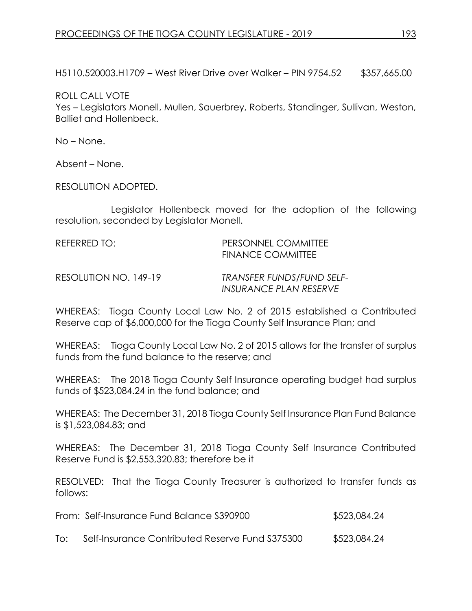H5110.520003.H1709 – West River Drive over Walker – PIN 9754.52 \$357,665.00

ROLL CALL VOTE

Yes – Legislators Monell, Mullen, Sauerbrey, Roberts, Standinger, Sullivan, Weston, Balliet and Hollenbeck.

No – None.

Absent – None.

RESOLUTION ADOPTED.

Legislator Hollenbeck moved for the adoption of the following resolution, seconded by Legislator Monell.

| REFERRED TO: | <b>PERSONNEL COMMITTEE</b> |
|--------------|----------------------------|
|              | <b>FINANCE COMMITTEE</b>   |

RESOLUTION NO. 149-19 *TRANSFER FUNDS/FUND SELF-INSURANCE PLAN RESERVE* 

WHEREAS: Tioga County Local Law No. 2 of 2015 established a Contributed Reserve cap of \$6,000,000 for the Tioga County Self Insurance Plan; and

WHEREAS: Tioga County Local Law No. 2 of 2015 allows for the transfer of surplus funds from the fund balance to the reserve; and

WHEREAS: The 2018 Tioga County Self Insurance operating budget had surplus funds of \$523,084.24 in the fund balance; and

WHEREAS: The December 31, 2018 Tioga County Self Insurance Plan Fund Balance is \$1,523,084.83; and

WHEREAS: The December 31, 2018 Tioga County Self Insurance Contributed Reserve Fund is \$2,553,320.83; therefore be it

RESOLVED: That the Tioga County Treasurer is authorized to transfer funds as follows:

From: Self-Insurance Fund Balance S390900  $$523,084.24$ 

To: Self-Insurance Contributed Reserve Fund S375300 \$523,084.24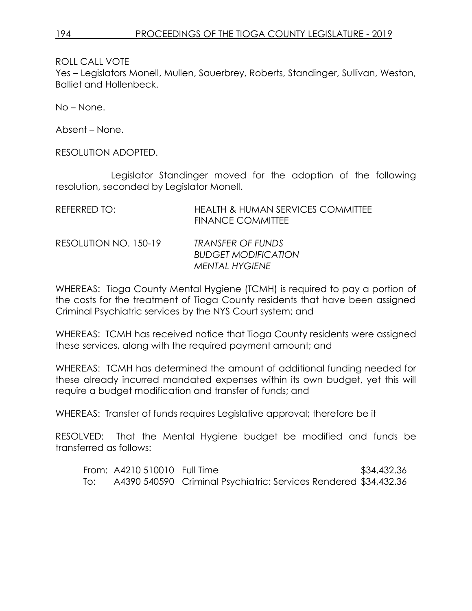Yes – Legislators Monell, Mullen, Sauerbrey, Roberts, Standinger, Sullivan, Weston, Balliet and Hollenbeck.

No – None.

Absent – None.

RESOLUTION ADOPTED.

Legislator Standinger moved for the adoption of the following resolution, seconded by Legislator Monell.

| REFERRED TO:          | <b>HEALTH &amp; HUMAN SERVICES COMMITTEE</b><br><b>FINANCE COMMITTEE</b> |
|-----------------------|--------------------------------------------------------------------------|
| RESOLUTION NO. 150-19 | TRANSFER OF FUNDS<br><b>BUDGET MODIFICATION</b><br><b>MENTAL HYGIENE</b> |

WHEREAS: Tioga County Mental Hygiene (TCMH) is required to pay a portion of the costs for the treatment of Tioga County residents that have been assigned Criminal Psychiatric services by the NYS Court system; and

WHEREAS: TCMH has received notice that Tioga County residents were assigned these services, along with the required payment amount; and

WHEREAS: TCMH has determined the amount of additional funding needed for these already incurred mandated expenses within its own budget, yet this will require a budget modification and transfer of funds; and

WHEREAS: Transfer of funds requires Legislative approval; therefore be it

RESOLVED: That the Mental Hygiene budget be modified and funds be transferred as follows:

|     | From: A4210 510010 Full Time |                                                                  | \$34,432.36 |
|-----|------------------------------|------------------------------------------------------------------|-------------|
| To: |                              | A4390 540590 Criminal Psychiatric: Services Rendered \$34,432.36 |             |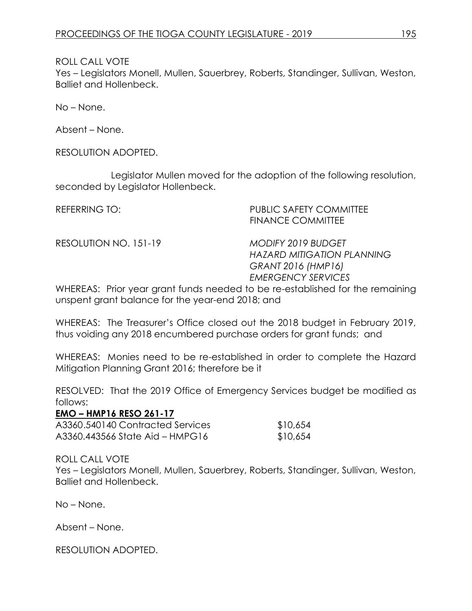Yes – Legislators Monell, Mullen, Sauerbrey, Roberts, Standinger, Sullivan, Weston, Balliet and Hollenbeck.

No – None.

Absent – None.

RESOLUTION ADOPTED.

Legislator Mullen moved for the adoption of the following resolution, seconded by Legislator Hollenbeck.

REFERRING TO: PUBLIC SAFETY COMMITTEE FINANCE COMMITTEE

RESOLUTION NO. 151-19 *MODIFY 2019 BUDGET*

*HAZARD MITIGATION PLANNING GRANT 2016 (HMP16) EMERGENCY SERVICES*

WHEREAS: Prior year grant funds needed to be re-established for the remaining unspent grant balance for the year-end 2018; and

WHEREAS: The Treasurer's Office closed out the 2018 budget in February 2019, thus voiding any 2018 encumbered purchase orders for grant funds; and

WHEREAS: Monies need to be re-established in order to complete the Hazard Mitigation Planning Grant 2016; therefore be it

RESOLVED: That the 2019 Office of Emergency Services budget be modified as follows:

#### **EMO – HMP16 RESO 261-17**

| A3360.540140 Contracted Services | \$10,654 |
|----------------------------------|----------|
| A3360.443566 State Aid – HMPG16  | \$10,654 |

### ROLL CALL VOTE

Yes – Legislators Monell, Mullen, Sauerbrey, Roberts, Standinger, Sullivan, Weston, Balliet and Hollenbeck.

No – None.

Absent – None.

RESOLUTION ADOPTED.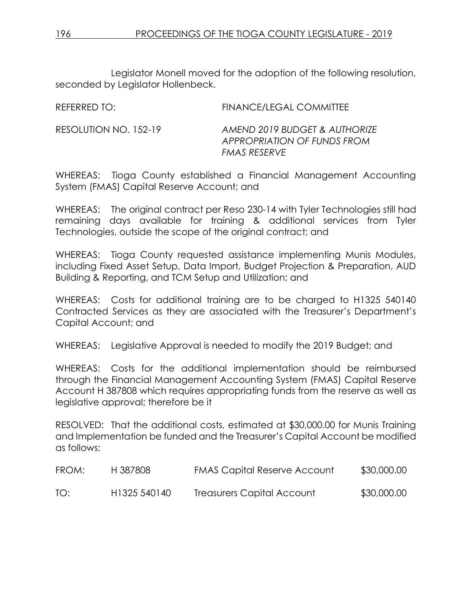Legislator Monell moved for the adoption of the following resolution, seconded by Legislator Hollenbeck.

| REFERRED TO:          | FINANCE/LEGAL COMMITTEE                                                      |
|-----------------------|------------------------------------------------------------------------------|
| RESOLUTION NO. 152-19 | AMEND 2019 BUDGET & AUTHORIZE<br>APPROPRIATION OF FUNDS FROM<br>FMAS RESERVE |

WHEREAS: Tioga County established a Financial Management Accounting System (FMAS) Capital Reserve Account; and

WHEREAS: The original contract per Reso 230-14 with Tyler Technologies still had remaining days available for training & additional services from Tyler Technologies, outside the scope of the original contract; and

WHEREAS: Tioga County requested assistance implementing Munis Modules, including Fixed Asset Setup, Data Import, Budget Projection & Preparation, AUD Building & Reporting, and TCM Setup and Utilization; and

WHEREAS: Costs for additional training are to be charged to H1325 540140 Contracted Services as they are associated with the Treasurer's Department's Capital Account; and

WHEREAS: Legislative Approval is needed to modify the 2019 Budget; and

WHEREAS: Costs for the additional implementation should be reimbursed through the Financial Management Accounting System (FMAS) Capital Reserve Account H 387808 which requires appropriating funds from the reserve as well as legislative approval; therefore be it

RESOLVED: That the additional costs, estimated at \$30,000.00 for Munis Training and Implementation be funded and the Treasurer's Capital Account be modified as follows:

| FROM: | H 387808                 | <b>FMAS Capital Reserve Account</b> | \$30,000.00 |
|-------|--------------------------|-------------------------------------|-------------|
| TO:   | H <sub>1325</sub> 540140 | Treasurers Capital Account          | \$30,000.00 |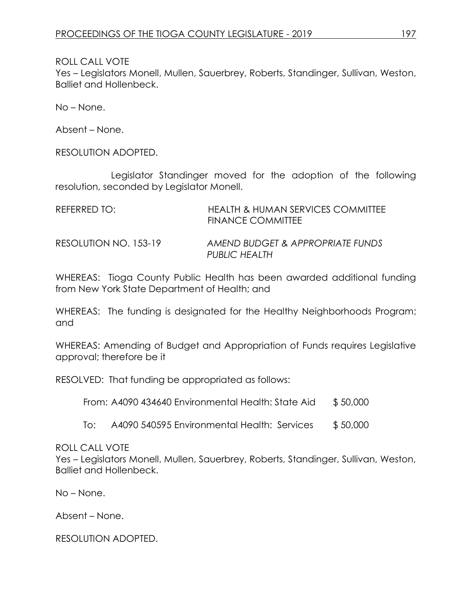Yes – Legislators Monell, Mullen, Sauerbrey, Roberts, Standinger, Sullivan, Weston, Balliet and Hollenbeck.

No – None.

Absent – None.

RESOLUTION ADOPTED.

Legislator Standinger moved for the adoption of the following resolution, seconded by Legislator Monell.

| REFERRED TO:          | HEALTH & HUMAN SERVICES COMMITTEE<br><b>FINANCE COMMITTEE</b> |
|-----------------------|---------------------------------------------------------------|
| RESOLUTION NO. 153-19 | AMEND BUDGET & APPROPRIATE FUNDS<br>PUBLIC HEALTH             |

WHEREAS: Tioga County Public Health has been awarded additional funding from New York State Department of Health; and

WHEREAS: The funding is designated for the Healthy Neighborhoods Program; and

WHEREAS: Amending of Budget and Appropriation of Funds requires Legislative approval; therefore be it

RESOLVED: That funding be appropriated as follows:

From: A4090 434640 Environmental Health: State Aid \$50,000

To: A4090 540595 Environmental Health: Services \$ 50,000

#### ROLL CALL VOTE

Yes – Legislators Monell, Mullen, Sauerbrey, Roberts, Standinger, Sullivan, Weston, Balliet and Hollenbeck.

No – None.

Absent – None.

RESOLUTION ADOPTED.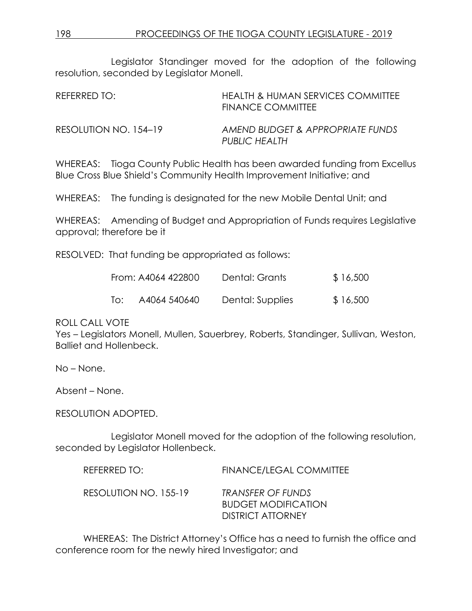Legislator Standinger moved for the adoption of the following resolution, seconded by Legislator Monell.

| REFERRED TO:          | <b>HEALTH &amp; HUMAN SERVICES COMMITTEE</b><br><b>FINANCE COMMITTEE</b> |
|-----------------------|--------------------------------------------------------------------------|
| RESOLUTION NO. 154–19 | AMEND BUDGET & APPROPRIATE FUNDS<br>PUBLIC HEALTH                        |

WHEREAS: Tioga County Public Health has been awarded funding from Excellus Blue Cross Blue Shield's Community Health Improvement Initiative; and

WHEREAS: The funding is designated for the new Mobile Dental Unit; and

WHEREAS: Amending of Budget and Appropriation of Funds requires Legislative approval; therefore be it

RESOLVED: That funding be appropriated as follows:

|     | From: A4064 422800 | Dental: Grants   | \$16,500 |
|-----|--------------------|------------------|----------|
| To: | A4064 540640       | Dental: Supplies | \$16,500 |

#### ROLL CALL VOTE

Yes – Legislators Monell, Mullen, Sauerbrey, Roberts, Standinger, Sullivan, Weston, Balliet and Hollenbeck.

No – None.

Absent – None.

RESOLUTION ADOPTED.

Legislator Monell moved for the adoption of the following resolution, seconded by Legislator Hollenbeck.

| REFERRED TO:          | <b>FINANCE/LEGAL COMMITTEE</b>                                              |
|-----------------------|-----------------------------------------------------------------------------|
| RESOLUTION NO. 155-19 | TRANSFER OF FUNDS<br><b>BUDGET MODIFICATION</b><br><b>DISTRICT ATTORNEY</b> |

WHEREAS: The District Attorney's Office has a need to furnish the office and conference room for the newly hired Investigator; and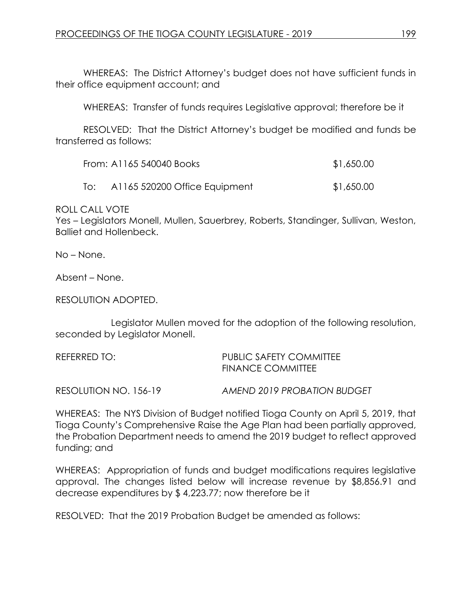WHEREAS: The District Attorney's budget does not have sufficient funds in their office equipment account; and

WHEREAS: Transfer of funds requires Legislative approval; therefore be it

RESOLVED: That the District Attorney's budget be modified and funds be transferred as follows:

|     | From: A1165 540040 Books      | \$1,650.00 |
|-----|-------------------------------|------------|
| lo: | A1165 520200 Office Equipment | \$1,650.00 |

ROLL CALL VOTE

Yes – Legislators Monell, Mullen, Sauerbrey, Roberts, Standinger, Sullivan, Weston, Balliet and Hollenbeck.

No – None.

Absent – None.

RESOLUTION ADOPTED.

Legislator Mullen moved for the adoption of the following resolution, seconded by Legislator Monell.

| REFERRED TO: | PUBLIC SAFETY COMMITTEE  |
|--------------|--------------------------|
|              | <b>FINANCE COMMITTEE</b> |

RESOLUTION NO. 156-19 *AMEND 2019 PROBATION BUDGET* 

WHEREAS: The NYS Division of Budget notified Tioga County on April 5, 2019, that Tioga County's Comprehensive Raise the Age Plan had been partially approved, the Probation Department needs to amend the 2019 budget to reflect approved funding; and

WHEREAS: Appropriation of funds and budget modifications requires legislative approval. The changes listed below will increase revenue by \$8,856.91 and decrease expenditures by \$ 4,223.77; now therefore be it

RESOLVED: That the 2019 Probation Budget be amended as follows: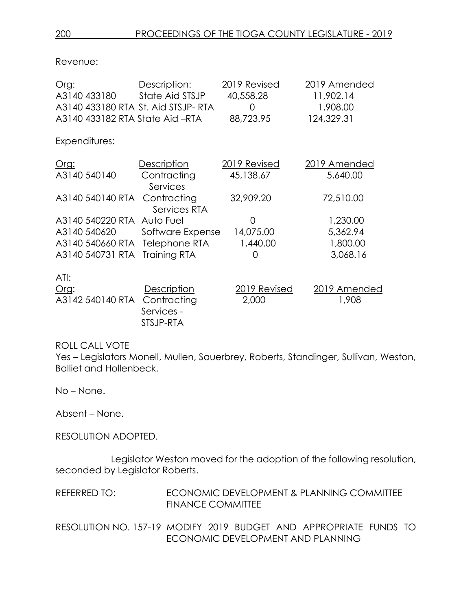Revenue:

| <u>Org:</u>                         | Description:                | 2019 Revised | 2019 Amended |
|-------------------------------------|-----------------------------|--------------|--------------|
| A3140 433180                        | State Aid STSJP             | 40,558.28    | 11,902.14    |
| A3140 433180 RTA St. Aid STSJP- RTA |                             | O            | 1,908.00     |
| A3140 433182 RTA State Aid -RTA     |                             | 88,723.95    | 124,329.31   |
| Expenditures:                       |                             |              |              |
| <u>Org:</u>                         | <b>Description</b>          | 2019 Revised | 2019 Amended |
| A3140 540140                        | Contracting<br>Services     | 45,138.67    | 5,640.00     |
| A3140 540140 RTA                    | Contracting<br>Services RTA | 32,909.20    | 72,510.00    |
| A3140 540220 RTA Auto Fuel          |                             | ∩            | 1,230.00     |
| A3140 540620                        | Software Expense            | 14,075.00    | 5,362.94     |
| A3140 540660 RTA Telephone RTA      |                             | 1,440.00     | 1,800.00     |
| A3140 540731 RTA                    | Training RTA                | 0            | 3,068.16     |
| ATI:                                |                             |              |              |
| O(q)                                | <b>Description</b>          | 2019 Revised | 2019 Amended |
| A3142 540140 RTA                    | Contracting                 | 2,000        | 1,908        |
|                                     | Services -                  |              |              |
|                                     | STSJP-RTA                   |              |              |

### ROLL CALL VOTE

Yes – Legislators Monell, Mullen, Sauerbrey, Roberts, Standinger, Sullivan, Weston, Balliet and Hollenbeck.

No – None.

Absent – None.

RESOLUTION ADOPTED.

Legislator Weston moved for the adoption of the following resolution, seconded by Legislator Roberts.

REFERRED TO: ECONOMIC DEVELOPMENT & PLANNING COMMITTEE FINANCE COMMITTEE

RESOLUTION NO. 157-19 MODIFY 2019 BUDGET AND APPROPRIATE FUNDS TO ECONOMIC DEVELOPMENT AND PLANNING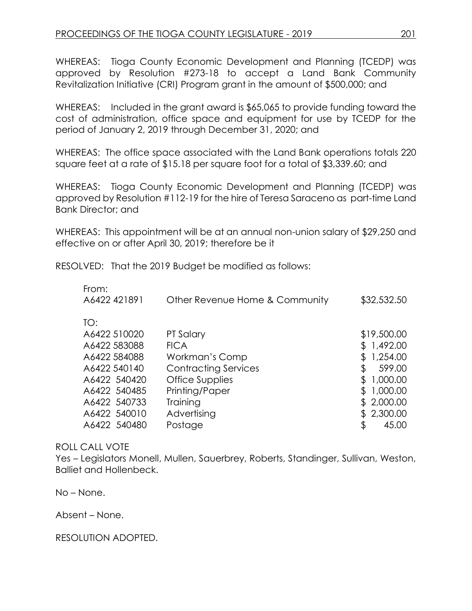WHEREAS: Tioga County Economic Development and Planning (TCEDP) was approved by Resolution #273-18 to accept a Land Bank Community Revitalization Initiative (CRI) Program grant in the amount of \$500,000; and

WHEREAS: Included in the grant award is \$65,065 to provide funding toward the cost of administration, office space and equipment for use by TCEDP for the period of January 2, 2019 through December 31, 2020; and

WHEREAS: The office space associated with the Land Bank operations totals 220 square feet at a rate of \$15.18 per square foot for a total of \$3,339.60; and

WHEREAS: Tioga County Economic Development and Planning (TCEDP) was approved by Resolution #112-19 for the hire of Teresa Saraceno as part-time Land Bank Director; and

WHEREAS: This appointment will be at an annual non-union salary of \$29,250 and effective on or after April 30, 2019; therefore be it

RESOLVED: That the 2019 Budget be modified as follows:

| Other Revenue Home & Community | \$32,532.50  |
|--------------------------------|--------------|
|                                |              |
| PT Salary                      | \$19,500.00  |
| <b>FICA</b>                    | 1,492.00     |
| Workman's Comp                 | 1,254.00     |
| <b>Contracting Services</b>    | 599.00<br>\$ |
| Office Supplies                | 1,000.00     |
| Printing/Paper                 | 1,000.00     |
| Training                       | 2,000.00     |
| Advertising                    | 2,300.00     |
| Postage                        | \$<br>45.00  |
|                                |              |

### ROLL CALL VOTE

Yes – Legislators Monell, Mullen, Sauerbrey, Roberts, Standinger, Sullivan, Weston, Balliet and Hollenbeck.

No – None.

Absent – None.

RESOLUTION ADOPTED.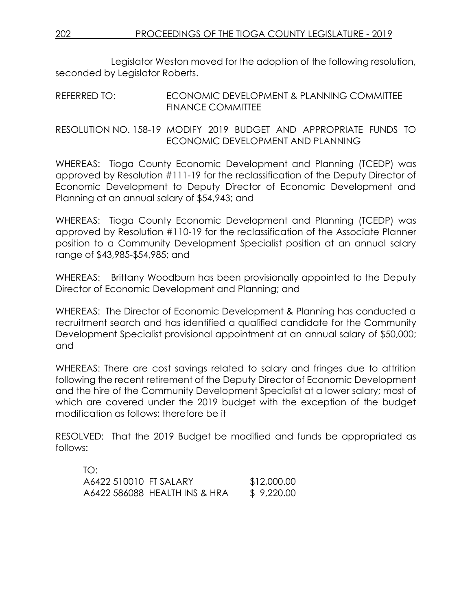Legislator Weston moved for the adoption of the following resolution, seconded by Legislator Roberts.

### REFERRED TO: ECONOMIC DEVELOPMENT & PLANNING COMMITTEE FINANCE COMMITTEE

RESOLUTION NO. 158-19 MODIFY 2019 BUDGET AND APPROPRIATE FUNDS TO ECONOMIC DEVELOPMENT AND PLANNING

WHEREAS: Tioga County Economic Development and Planning (TCEDP) was approved by Resolution #111-19 for the reclassification of the Deputy Director of Economic Development to Deputy Director of Economic Development and Planning at an annual salary of \$54,943; and

WHEREAS: Tioga County Economic Development and Planning (TCEDP) was approved by Resolution #110-19 for the reclassification of the Associate Planner position to a Community Development Specialist position at an annual salary range of \$43,985-\$54,985; and

WHEREAS: Brittany Woodburn has been provisionally appointed to the Deputy Director of Economic Development and Planning; and

WHEREAS: The Director of Economic Development & Planning has conducted a recruitment search and has identified a qualified candidate for the Community Development Specialist provisional appointment at an annual salary of \$50,000; and

WHEREAS: There are cost savings related to salary and fringes due to attrition following the recent retirement of the Deputy Director of Economic Development and the hire of the Community Development Specialist at a lower salary; most of which are covered under the 2019 budget with the exception of the budget modification as follows: therefore be it

RESOLVED: That the 2019 Budget be modified and funds be appropriated as follows:

| TO:                    |                               |             |
|------------------------|-------------------------------|-------------|
| A6422 510010 FT SALARY |                               | \$12,000.00 |
|                        | A6422 586088 HEALTH INS & HRA | \$9,220.00  |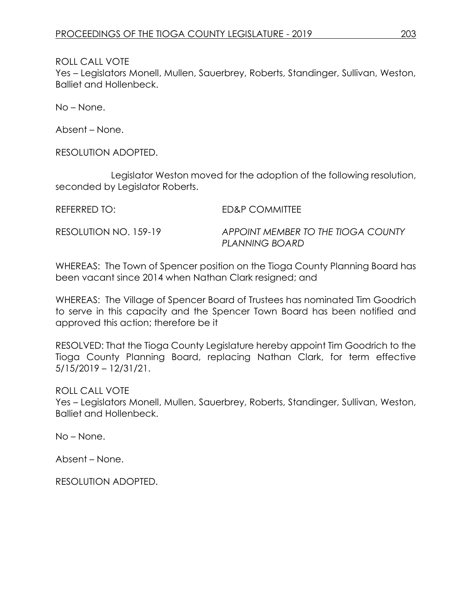Yes – Legislators Monell, Mullen, Sauerbrey, Roberts, Standinger, Sullivan, Weston, Balliet and Hollenbeck.

No – None.

Absent – None.

RESOLUTION ADOPTED.

Legislator Weston moved for the adoption of the following resolution, seconded by Legislator Roberts.

REFERRED TO: ED&P COMMITTEE

RESOLUTION NO. 159-19 *APPOINT MEMBER TO THE TIOGA COUNTY PLANNING BOARD*

WHEREAS: The Town of Spencer position on the Tioga County Planning Board has been vacant since 2014 when Nathan Clark resigned; and

WHEREAS: The Village of Spencer Board of Trustees has nominated Tim Goodrich to serve in this capacity and the Spencer Town Board has been notified and approved this action; therefore be it

RESOLVED: That the Tioga County Legislature hereby appoint Tim Goodrich to the Tioga County Planning Board, replacing Nathan Clark, for term effective 5/15/2019 – 12/31/21.

ROLL CALL VOTE

Yes – Legislators Monell, Mullen, Sauerbrey, Roberts, Standinger, Sullivan, Weston, Balliet and Hollenbeck.

No – None.

Absent – None.

RESOLUTION ADOPTED.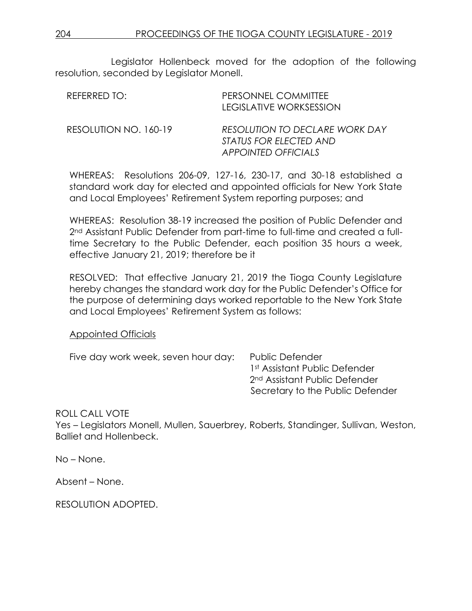Legislator Hollenbeck moved for the adoption of the following resolution, seconded by Legislator Monell.

| REFERRED TO:          | PERSONNEL COMMITTEE<br>LEGISLATIVE WORKSESSION                                                |
|-----------------------|-----------------------------------------------------------------------------------------------|
| RESOLUTION NO. 160-19 | RESOLUTION TO DECLARE WORK DAY<br><i>STATUS FOR ELECTED AND</i><br><b>APPOINTED OFFICIALS</b> |

WHEREAS: Resolutions 206-09, 127-16, 230-17, and 30-18 established a standard work day for elected and appointed officials for New York State and Local Employees' Retirement System reporting purposes; and

WHEREAS: Resolution 38-19 increased the position of Public Defender and 2nd Assistant Public Defender from part-time to full-time and created a fulltime Secretary to the Public Defender, each position 35 hours a week, effective January 21, 2019; therefore be it

RESOLVED: That effective January 21, 2019 the Tioga County Legislature hereby changes the standard work day for the Public Defender's Office for the purpose of determining days worked reportable to the New York State and Local Employees' Retirement System as follows:

#### Appointed Officials

Five day work week, seven hour day: Public Defender

1st Assistant Public Defender 2nd Assistant Public Defender Secretary to the Public Defender

#### ROLL CALL VOTE

Yes – Legislators Monell, Mullen, Sauerbrey, Roberts, Standinger, Sullivan, Weston, Balliet and Hollenbeck.

No – None.

Absent – None.

RESOLUTION ADOPTED.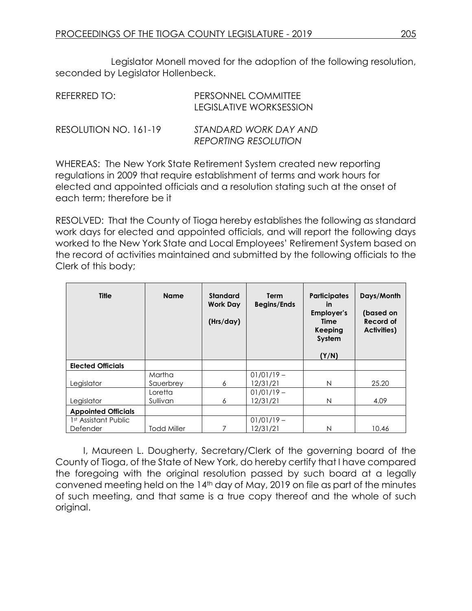Legislator Monell moved for the adoption of the following resolution, seconded by Legislator Hollenbeck.

| REFERRED TO:          | PERSONNEL COMMITTEE<br>LEGISLATIVE WORKSESSION       |
|-----------------------|------------------------------------------------------|
| RESOLUTION NO. 161-19 | STANDARD WORK DAY AND<br><b>REPORTING RESOLUTION</b> |

WHEREAS: The New York State Retirement System created new reporting regulations in 2009 that require establishment of terms and work hours for elected and appointed officials and a resolution stating such at the onset of each term; therefore be it

RESOLVED: That the County of Tioga hereby establishes the following as standard work days for elected and appointed officials, and will report the following days worked to the New York State and Local Employees' Retirement System based on the record of activities maintained and submitted by the following officials to the Clerk of this body;

| <b>Title</b>                                 | <b>Name</b>         | <b>Standard</b><br><b>Work Day</b><br>(Hrs/day) | Term<br><b>Begins/Ends</b> | <b>Participates</b><br><b>in</b><br><b>Employer's</b><br>Time<br>Keeping<br>System<br>(Y/N) | Days/Month<br>(based on<br><b>Record of</b><br><b>Activities)</b> |
|----------------------------------------------|---------------------|-------------------------------------------------|----------------------------|---------------------------------------------------------------------------------------------|-------------------------------------------------------------------|
| <b>Elected Officials</b>                     |                     |                                                 |                            |                                                                                             |                                                                   |
| Legislator                                   | Martha<br>Sauerbrey | 6                                               | $01/01/19 -$<br>12/31/21   | N                                                                                           | 25.20                                                             |
| Legislator                                   | Loretta<br>Sullivan | 6                                               | $01/01/19 -$<br>12/31/21   | N                                                                                           | 4.09                                                              |
| <b>Appointed Officials</b>                   |                     |                                                 |                            |                                                                                             |                                                                   |
| 1 <sup>st</sup> Assistant Public<br>Defender | <b>Todd Miller</b>  |                                                 | $01/01/19 -$<br>12/31/21   | N                                                                                           | 10.46                                                             |

I, Maureen L. Dougherty, Secretary/Clerk of the governing board of the County of Tioga, of the State of New York, do hereby certify that I have compared the foregoing with the original resolution passed by such board at a legally convened meeting held on the 14th day of May, 2019 on file as part of the minutes of such meeting, and that same is a true copy thereof and the whole of such original.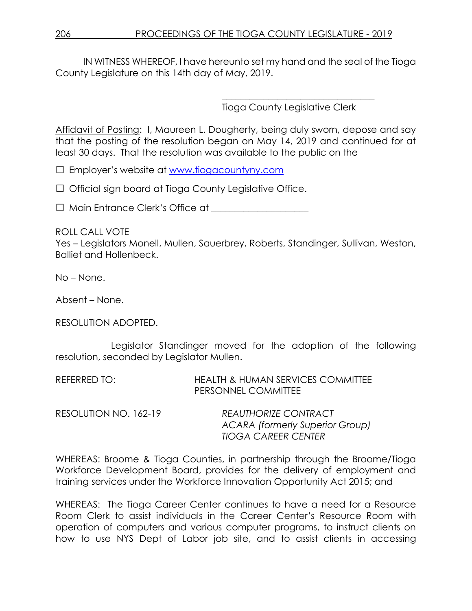IN WITNESS WHEREOF, I have hereunto set my hand and the seal of the Tioga County Legislature on this 14th day of May, 2019.

Tioga County Legislative Clerk

\_\_\_\_\_\_\_\_\_\_\_\_\_\_\_\_\_\_\_\_\_\_\_\_\_\_\_\_\_\_\_\_\_

Affidavit of Posting: I, Maureen L. Dougherty, being duly sworn, depose and say that the posting of the resolution began on May 14, 2019 and continued for at least 30 days. That the resolution was available to the public on the

□ Employer's website at [www.tiogacountyny.com](http://www.tiogacountyny.com/)

□ Official sign board at Tioga County Legislative Office.

□ Main Entrance Clerk's Office at \_\_\_\_\_\_\_\_\_\_\_\_\_\_\_\_\_\_\_\_\_

ROLL CALL VOTE

Yes – Legislators Monell, Mullen, Sauerbrey, Roberts, Standinger, Sullivan, Weston, Balliet and Hollenbeck.

No – None.

Absent – None.

RESOLUTION ADOPTED.

Legislator Standinger moved for the adoption of the following resolution, seconded by Legislator Mullen.

REFERRED TO: HEALTH & HUMAN SERVICES COMMITTEE PERSONNEL COMMITTEE

| RESOLUTION NO. 162-19 | <b>REAUTHORIZE CONTRACT</b>     |
|-----------------------|---------------------------------|
|                       | ACARA (formerly Superior Group) |
|                       | <b>TIOGA CAREER CENTER</b>      |

WHEREAS: Broome & Tioga Counties, in partnership through the Broome/Tioga Workforce Development Board, provides for the delivery of employment and training services under the Workforce Innovation Opportunity Act 2015; and

WHEREAS: The Tioga Career Center continues to have a need for a Resource Room Clerk to assist individuals in the Career Center's Resource Room with operation of computers and various computer programs, to instruct clients on how to use NYS Dept of Labor job site, and to assist clients in accessing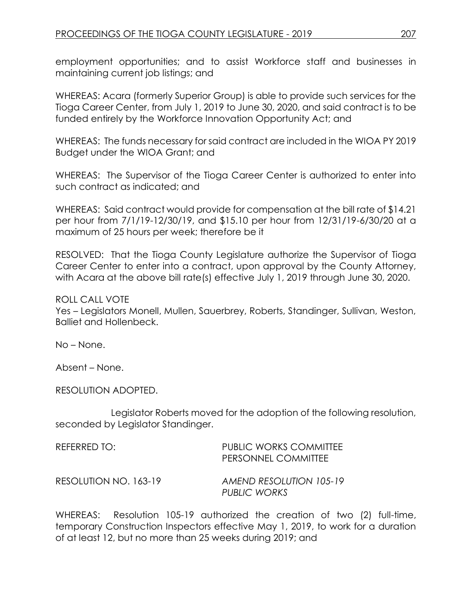employment opportunities; and to assist Workforce staff and businesses in maintaining current job listings; and

WHEREAS: Acara (formerly Superior Group) is able to provide such services for the Tioga Career Center, from July 1, 2019 to June 30, 2020, and said contract is to be funded entirely by the Workforce Innovation Opportunity Act; and

WHEREAS: The funds necessary for said contract are included in the WIOA PY 2019 Budget under the WIOA Grant; and

WHEREAS: The Supervisor of the Tioga Career Center is authorized to enter into such contract as indicated; and

WHEREAS: Said contract would provide for compensation at the bill rate of \$14.21 per hour from 7/1/19-12/30/19, and \$15.10 per hour from 12/31/19-6/30/20 at a maximum of 25 hours per week; therefore be it

RESOLVED: That the Tioga County Legislature authorize the Supervisor of Tioga Career Center to enter into a contract, upon approval by the County Attorney, with Acara at the above bill rate(s) effective July 1, 2019 through June 30, 2020.

#### ROLL CALL VOTE

Yes – Legislators Monell, Mullen, Sauerbrey, Roberts, Standinger, Sullivan, Weston, Balliet and Hollenbeck.

No – None.

Absent – None.

RESOLUTION ADOPTED.

Legislator Roberts moved for the adoption of the following resolution, seconded by Legislator Standinger.

| REFERRED TO:          | <b>PUBLIC WORKS COMMITTEE</b><br>PERSONNEL COMMITTEE |
|-----------------------|------------------------------------------------------|
| RESOLUTION NO. 163-19 | AMEND RESOLUTION 105-19<br><b>PUBLIC WORKS</b>       |

WHEREAS: Resolution 105-19 authorized the creation of two (2) full-time, temporary Construction Inspectors effective May 1, 2019, to work for a duration of at least 12, but no more than 25 weeks during 2019; and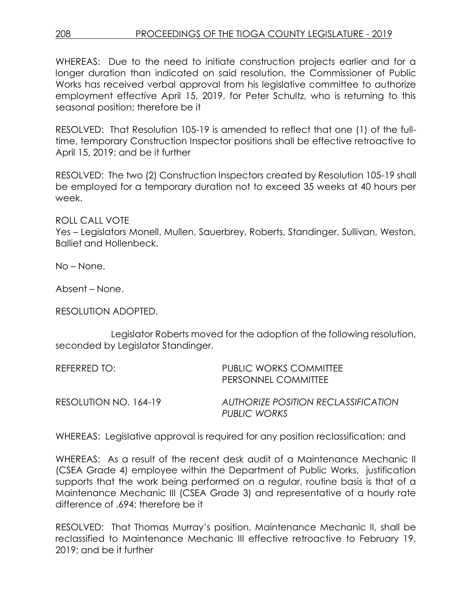WHEREAS: Due to the need to initiate construction projects earlier and for a longer duration than indicated on said resolution, the Commissioner of Public Works has received verbal approval from his legislative committee to authorize employment effective April 15, 2019, for Peter Schultz, who is returning to this seasonal position; therefore be it

RESOLVED: That Resolution 105-19 is amended to reflect that one (1) of the fulltime, temporary Construction Inspector positions shall be effective retroactive to April 15, 2019; and be it further

RESOLVED: The two (2) Construction Inspectors created by Resolution 105-19 shall be employed for a temporary duration not to exceed 35 weeks at 40 hours per week.

ROLL CALL VOTE

Yes – Legislators Monell, Mullen, Sauerbrey, Roberts, Standinger, Sullivan, Weston, Balliet and Hollenbeck.

No – None.

Absent – None.

RESOLUTION ADOPTED.

Legislator Roberts moved for the adoption of the following resolution, seconded by Legislator Standinger.

| REFERRED TO:          | <b>PUBLIC WORKS COMMITTEE</b><br>PERSONNEL COMMITTEE |
|-----------------------|------------------------------------------------------|
| RESOLUTION NO. 164-19 | AUTHORIZE POSITION RECLASSIFICATION<br>PUBLIC WORKS  |

WHEREAS: Legislative approval is required for any position reclassification; and

WHEREAS: As a result of the recent desk audit of a Maintenance Mechanic II (CSEA Grade 4) employee within the Department of Public Works, justification supports that the work being performed on a regular, routine basis is that of a Maintenance Mechanic III (CSEA Grade 3) and representative of a hourly rate difference of .694; therefore be it

RESOLVED: That Thomas Murray's position, Maintenance Mechanic II, shall be reclassified to Maintenance Mechanic III effective retroactive to February 19, 2019; and be it further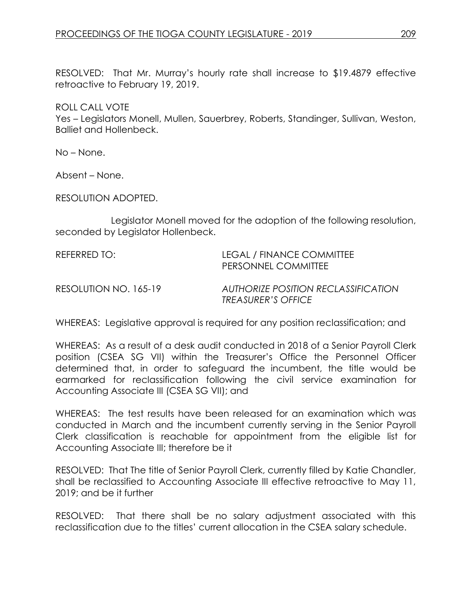RESOLVED: That Mr. Murray's hourly rate shall increase to \$19.4879 effective retroactive to February 19, 2019.

ROLL CALL VOTE

Yes – Legislators Monell, Mullen, Sauerbrey, Roberts, Standinger, Sullivan, Weston, Balliet and Hollenbeck.

No – None.

Absent – None.

RESOLUTION ADOPTED.

Legislator Monell moved for the adoption of the following resolution, seconded by Legislator Hollenbeck.

| REFERRED TO:          | <b>LEGAL / FINANCE COMMITTEE</b><br>PERSONNEL COMMITTEE          |
|-----------------------|------------------------------------------------------------------|
| RESOLUTION NO. 165-19 | AUTHORIZE POSITION RECLASSIFICATION<br><b>TREASURER'S OFFICE</b> |
|                       |                                                                  |

WHEREAS: Legislative approval is required for any position reclassification; and

WHEREAS: As a result of a desk audit conducted in 2018 of a Senior Payroll Clerk position (CSEA SG VII) within the Treasurer's Office the Personnel Officer determined that, in order to safeguard the incumbent, the title would be earmarked for reclassification following the civil service examination for Accounting Associate III (CSEA SG VII); and

WHEREAS: The test results have been released for an examination which was conducted in March and the incumbent currently serving in the Senior Payroll Clerk classification is reachable for appointment from the eligible list for Accounting Associate III; therefore be it

RESOLVED: That The title of Senior Payroll Clerk, currently filled by Katie Chandler, shall be reclassified to Accounting Associate III effective retroactive to May 11, 2019; and be it further

RESOLVED: That there shall be no salary adjustment associated with this reclassification due to the titles' current allocation in the CSEA salary schedule.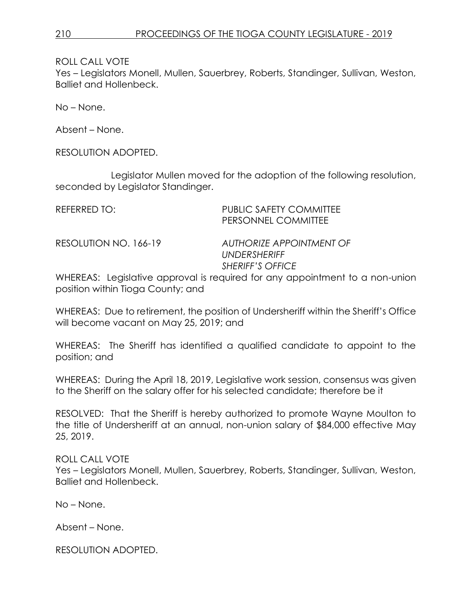Yes – Legislators Monell, Mullen, Sauerbrey, Roberts, Standinger, Sullivan, Weston, Balliet and Hollenbeck.

No – None.

Absent – None.

RESOLUTION ADOPTED.

Legislator Mullen moved for the adoption of the following resolution, seconded by Legislator Standinger.

| REFERRED TO:          | PUBLIC SAFETY COMMITTEE<br>PERSONNEL COMMITTEE                             |
|-----------------------|----------------------------------------------------------------------------|
| RESOLUTION NO. 166-19 | AUTHORIZE APPOINTMENT OF<br><b>UNDERSHERIFF</b><br><b>SHERIFF'S OFFICE</b> |

WHEREAS: Legislative approval is required for any appointment to a non-union position within Tioga County; and

WHEREAS: Due to retirement, the position of Undersheriff within the Sheriff's Office will become vacant on May 25, 2019; and

WHEREAS: The Sheriff has identified a qualified candidate to appoint to the position; and

WHEREAS: During the April 18, 2019, Legislative work session, consensus was given to the Sheriff on the salary offer for his selected candidate; therefore be it

RESOLVED: That the Sheriff is hereby authorized to promote Wayne Moulton to the title of Undersheriff at an annual, non-union salary of \$84,000 effective May 25, 2019.

#### ROLL CALL VOTE

Yes – Legislators Monell, Mullen, Sauerbrey, Roberts, Standinger, Sullivan, Weston, Balliet and Hollenbeck.

No – None.

Absent – None.

RESOLUTION ADOPTED.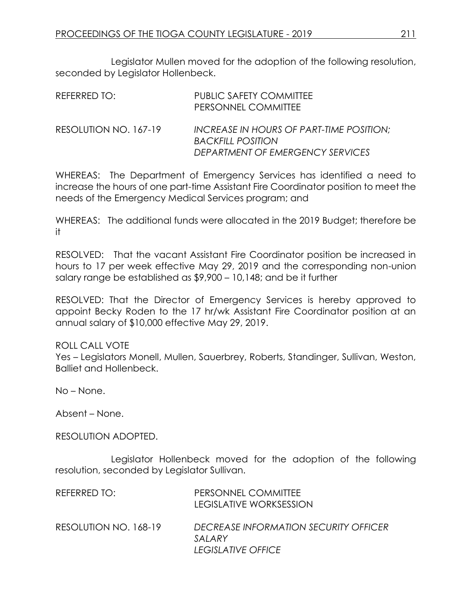Legislator Mullen moved for the adoption of the following resolution, seconded by Legislator Hollenbeck.

| REFERRED TO:          | <b>PUBLIC SAFETY COMMITTEE</b><br>PERSONNEL COMMITTEE                                                    |
|-----------------------|----------------------------------------------------------------------------------------------------------|
| RESOLUTION NO. 167-19 | INCREASE IN HOURS OF PART-TIME POSITION:<br><b>BACKFILL POSITION</b><br>DEPARTMENT OF EMERGENCY SERVICES |

WHEREAS: The Department of Emergency Services has identified a need to increase the hours of one part-time Assistant Fire Coordinator position to meet the needs of the Emergency Medical Services program; and

WHEREAS: The additional funds were allocated in the 2019 Budget; therefore be it

RESOLVED: That the vacant Assistant Fire Coordinator position be increased in hours to 17 per week effective May 29, 2019 and the corresponding non-union salary range be established as \$9,900 – 10,148; and be it further

RESOLVED: That the Director of Emergency Services is hereby approved to appoint Becky Roden to the 17 hr/wk Assistant Fire Coordinator position at an annual salary of \$10,000 effective May 29, 2019.

ROLL CALL VOTE

Yes – Legislators Monell, Mullen, Sauerbrey, Roberts, Standinger, Sullivan, Weston, Balliet and Hollenbeck.

No – None.

Absent – None.

RESOLUTION ADOPTED.

Legislator Hollenbeck moved for the adoption of the following resolution, seconded by Legislator Sullivan.

| REFERRED TO:          | PERSONNEL COMMITTEE<br><b>LEGISLATIVE WORKSESSION</b>                        |
|-----------------------|------------------------------------------------------------------------------|
| RESOLUTION NO. 168-19 | DECREASE INFORMATION SECURITY OFFICER<br>SALARY<br><b>LEGISLATIVE OFFICE</b> |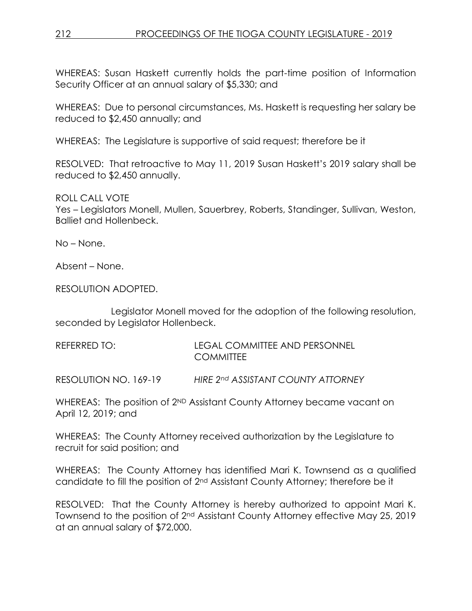WHEREAS: Susan Haskett currently holds the part-time position of Information Security Officer at an annual salary of \$5,330; and

WHEREAS: Due to personal circumstances, Ms. Haskett is requesting her salary be reduced to \$2,450 annually; and

WHEREAS: The Legislature is supportive of said request; therefore be it

RESOLVED: That retroactive to May 11, 2019 Susan Haskett's 2019 salary shall be reduced to \$2,450 annually.

ROLL CALL VOTE

Yes – Legislators Monell, Mullen, Sauerbrey, Roberts, Standinger, Sullivan, Weston, Balliet and Hollenbeck.

No – None.

Absent – None.

RESOLUTION ADOPTED.

Legislator Monell moved for the adoption of the following resolution, seconded by Legislator Hollenbeck.

| REFERRED TO: | <b>LEGAL COMMITTEE AND PERSONNEL</b> |
|--------------|--------------------------------------|
|              | <b>COMMITTEE</b>                     |

RESOLUTION NO. 169-19 *HIRE 2nd ASSISTANT COUNTY ATTORNEY* 

WHEREAS: The position of 2<sup>ND</sup> Assistant County Attorney became vacant on April 12, 2019; and

WHEREAS: The County Attorney received authorization by the Legislature to recruit for said position; and

WHEREAS: The County Attorney has identified Mari K. Townsend as a qualified candidate to fill the position of 2nd Assistant County Attorney; therefore be it

RESOLVED: That the County Attorney is hereby authorized to appoint Mari K. Townsend to the position of 2nd Assistant County Attorney effective May 25, 2019 at an annual salary of \$72,000.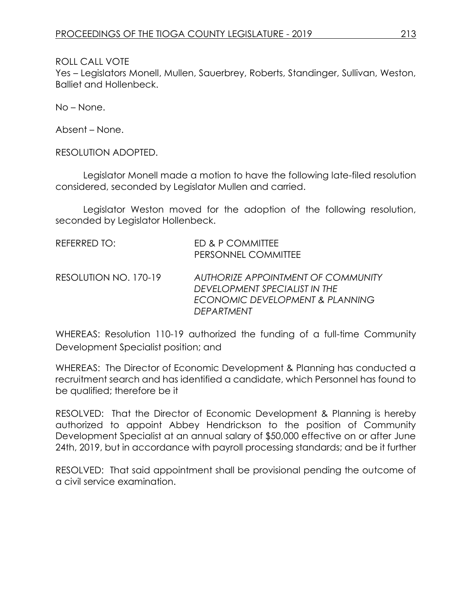Yes – Legislators Monell, Mullen, Sauerbrey, Roberts, Standinger, Sullivan, Weston, Balliet and Hollenbeck.

No – None.

Absent – None.

RESOLUTION ADOPTED.

Legislator Monell made a motion to have the following late-filed resolution considered, seconded by Legislator Mullen and carried.

Legislator Weston moved for the adoption of the following resolution, seconded by Legislator Hollenbeck.

| REFERRED TO:          | ED & P COMMITTEE<br>PERSONNEL COMMITTEE                                                                                     |
|-----------------------|-----------------------------------------------------------------------------------------------------------------------------|
| RESOLUTION NO. 170-19 | AUTHORIZE APPOINTMENT OF COMMUNITY<br>DEVELOPMENT SPECIALIST IN THE<br>ECONOMIC DEVELOPMENT & PLANNING<br><b>DEPARTMENT</b> |

WHEREAS: Resolution 110-19 authorized the funding of a full-time Community Development Specialist position; and

WHEREAS: The Director of Economic Development & Planning has conducted a recruitment search and has identified a candidate, which Personnel has found to be qualified; therefore be it

RESOLVED: That the Director of Economic Development & Planning is hereby authorized to appoint Abbey Hendrickson to the position of Community Development Specialist at an annual salary of \$50,000 effective on or after June 24th, 2019, but in accordance with payroll processing standards; and be it further

RESOLVED: That said appointment shall be provisional pending the outcome of a civil service examination.